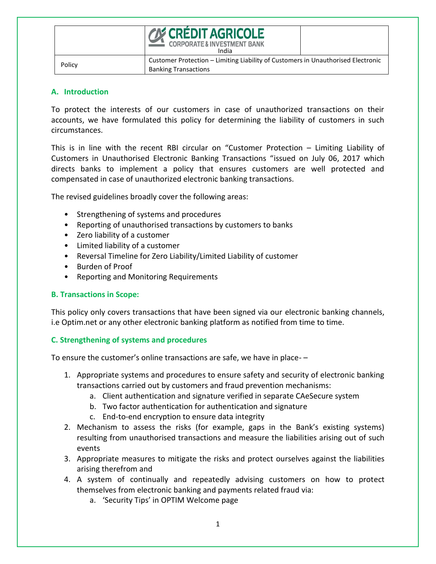|        | <b>CON CRÉDIT AGRICOLE</b><br><b>CORPORATE &amp; INVESTMENT BANK</b><br>India                                   |  |
|--------|-----------------------------------------------------------------------------------------------------------------|--|
| Policy | Customer Protection - Limiting Liability of Customers in Unauthorised Electronic<br><b>Banking Transactions</b> |  |

#### **A. Introduction**

To protect the interests of our customers in case of unauthorized transactions on their accounts, we have formulated this policy for determining the liability of customers in such circumstances.

This is in line with the recent RBI circular on "Customer Protection – Limiting Liability of Customers in Unauthorised Electronic Banking Transactions "issued on July 06, 2017 which directs banks to implement a policy that ensures customers are well protected and compensated in case of unauthorized electronic banking transactions.

The revised guidelines broadly cover the following areas:

- Strengthening of systems and procedures
- Reporting of unauthorised transactions by customers to banks
- Zero liability of a customer
- Limited liability of a customer
- Reversal Timeline for Zero Liability/Limited Liability of customer
- Burden of Proof
- Reporting and Monitoring Requirements

### **B. Transactions in Scope:**

This policy only covers transactions that have been signed via our electronic banking channels, i.e Optim.net or any other electronic banking platform as notified from time to time.

### **C. Strengthening of systems and procedures**

To ensure the customer's online transactions are safe, we have in place- –

- 1. Appropriate systems and procedures to ensure safety and security of electronic banking transactions carried out by customers and fraud prevention mechanisms:
	- a. Client authentication and signature verified in separate CAeSecure system
	- b. Two factor authentication for authentication and signature
	- c. End-to-end encryption to ensure data integrity
- 2. Mechanism to assess the risks (for example, gaps in the Bank's existing systems) resulting from unauthorised transactions and measure the liabilities arising out of such events
- 3. Appropriate measures to mitigate the risks and protect ourselves against the liabilities arising therefrom and
- 4. A system of continually and repeatedly advising customers on how to protect themselves from electronic banking and payments related fraud via:
	- a. 'Security Tips' in OPTIM Welcome page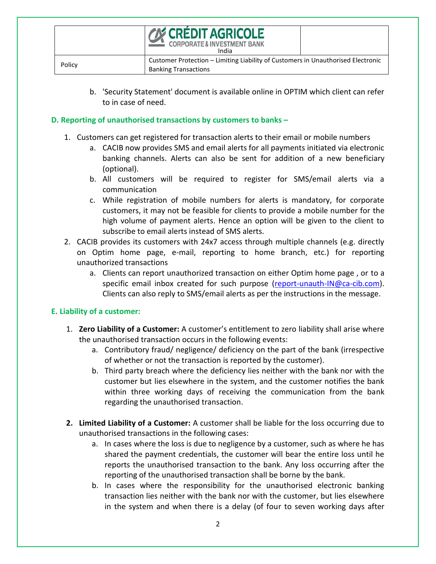|        | <b>CON CRÉDIT AGRICOLE</b><br><b>CORPORATE &amp; INVESTMENT BANK</b><br>India                                   |  |
|--------|-----------------------------------------------------------------------------------------------------------------|--|
| Policy | Customer Protection – Limiting Liability of Customers in Unauthorised Electronic<br><b>Banking Transactions</b> |  |

b. 'Security Statement' document is available online in OPTIM which client can refer to in case of need.

### **D. Reporting of unauthorised transactions by customers to banks –**

- 1. Customers can get registered for transaction alerts to their email or mobile numbers
	- a. CACIB now provides SMS and email alerts for all payments initiated via electronic banking channels. Alerts can also be sent for addition of a new beneficiary (optional).
	- b. All customers will be required to register for SMS/email alerts via a communication
	- c. While registration of mobile numbers for alerts is mandatory, for corporate customers, it may not be feasible for clients to provide a mobile number for the high volume of payment alerts. Hence an option will be given to the client to subscribe to email alerts instead of SMS alerts.
- 2. CACIB provides its customers with 24x7 access through multiple channels (e.g. directly on Optim home page, e-mail, reporting to home branch, etc.) for reporting unauthorized transactions
	- a. Clients can report unauthorized transaction on either Optim home page , or to a specific email inbox created for such purpose [\(report-unauth-IN@ca-cib.com\)](mailto:report-unauth-IN@ca-cib.com). Clients can also reply to SMS/email alerts as per the instructions in the message.

### **E. Liability of a customer:**

- 1. **Zero Liability of a Customer:** A customer's entitlement to zero liability shall arise where the unauthorised transaction occurs in the following events:
	- a. Contributory fraud/ negligence/ deficiency on the part of the bank (irrespective of whether or not the transaction is reported by the customer).
	- b. Third party breach where the deficiency lies neither with the bank nor with the customer but lies elsewhere in the system, and the customer notifies the bank within three working days of receiving the communication from the bank regarding the unauthorised transaction.
- **2. Limited Liability of a Customer:** A customer shall be liable for the loss occurring due to unauthorised transactions in the following cases:
	- a. In cases where the loss is due to negligence by a customer, such as where he has shared the payment credentials, the customer will bear the entire loss until he reports the unauthorised transaction to the bank. Any loss occurring after the reporting of the unauthorised transaction shall be borne by the bank.
	- b. In cases where the responsibility for the unauthorised electronic banking transaction lies neither with the bank nor with the customer, but lies elsewhere in the system and when there is a delay (of four to seven working days after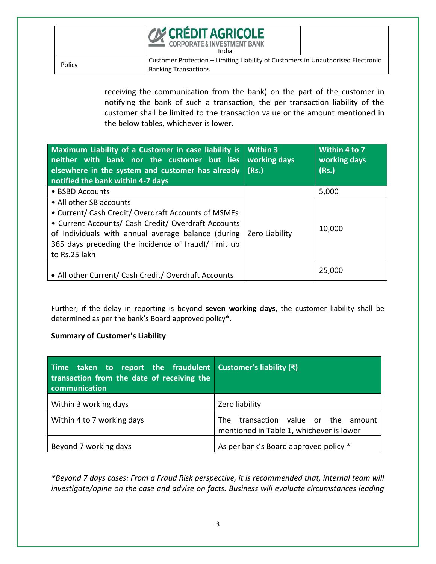# ÉDIT AGRICOLE **NVESTMENT BANK**

India

Policy Customer Protection – Limiting Liability of Customers in Unauthorised Electronic<br>
Policy Banking Transactions

> receiving the communication from the bank) on the part of the customer in notifying the bank of such a transaction, the per transaction liability of the customer shall be limited to the transaction value or the amount mentioned in the below tables, whichever is lower.

| Maximum Liability of a Customer in case liability is<br>neither with bank nor the customer but lies<br>elsewhere in the system and customer has already<br>notified the bank within 4-7 days                                                                         | <b>Within 3</b><br>working days<br>(Rs.) | Within 4 to 7<br>working days<br>(Rs.) |
|----------------------------------------------------------------------------------------------------------------------------------------------------------------------------------------------------------------------------------------------------------------------|------------------------------------------|----------------------------------------|
| • BSBD Accounts                                                                                                                                                                                                                                                      |                                          | 5,000                                  |
| • All other SB accounts<br>• Current/ Cash Credit/ Overdraft Accounts of MSMEs<br>• Current Accounts/ Cash Credit/ Overdraft Accounts<br>of Individuals with annual average balance (during<br>365 days preceding the incidence of fraud)/ limit up<br>to Rs.25 lakh | Zero Liability                           | 10,000                                 |
| • All other Current/ Cash Credit/ Overdraft Accounts                                                                                                                                                                                                                 |                                          | 25,000                                 |

Further, if the delay in reporting is beyond **seven working days**, the customer liability shall be determined as per the bank's Board approved policy\*.

## **Summary of Customer's Liability**

| Time taken to report the fraudulent Customer's liability $(\bar{x})$<br>transaction from the date of receiving the<br>communication |                                                                                 |
|-------------------------------------------------------------------------------------------------------------------------------------|---------------------------------------------------------------------------------|
| Within 3 working days                                                                                                               | Zero liability                                                                  |
| Within 4 to 7 working days                                                                                                          | The transaction value or the amount<br>mentioned in Table 1, whichever is lower |
| Beyond 7 working days                                                                                                               | As per bank's Board approved policy *                                           |

*\*Beyond 7 days cases: From a Fraud Risk perspective, it is recommended that, internal team will investigate/opine on the case and advise on facts. Business will evaluate circumstances leading*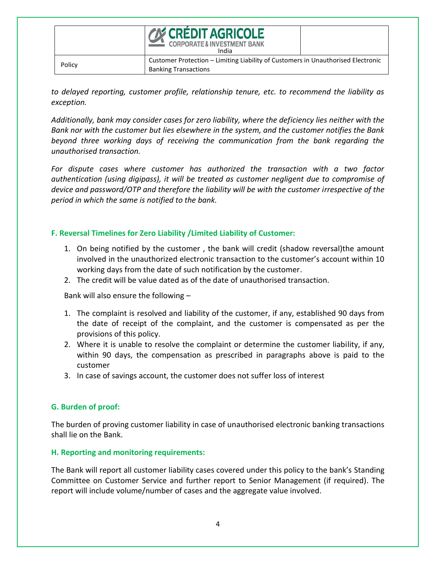|        | <b>CON CRÉDIT AGRICOLE</b><br><b>CORPORATE &amp; INVESTMENT BANK</b><br>India                                   |  |
|--------|-----------------------------------------------------------------------------------------------------------------|--|
| Policy | Customer Protection - Limiting Liability of Customers in Unauthorised Electronic<br><b>Banking Transactions</b> |  |

*to delayed reporting, customer profile, relationship tenure, etc. to recommend the liability as exception.*

*Additionally, bank may consider cases for zero liability, where the deficiency lies neither with the Bank nor with the customer but lies elsewhere in the system, and the customer notifies the Bank beyond three working days of receiving the communication from the bank regarding the unauthorised transaction.*

*For dispute cases where customer has authorized the transaction with a two factor authentication (using digipass), it will be treated as customer negligent due to compromise of device and password/OTP and therefore the liability will be with the customer irrespective of the period in which the same is notified to the bank.* 

### **F. Reversal Timelines for Zero Liability /Limited Liability of Customer:**

- 1. On being notified by the customer , the bank will credit (shadow reversal)the amount involved in the unauthorized electronic transaction to the customer's account within 10 working days from the date of such notification by the customer.
- 2. The credit will be value dated as of the date of unauthorised transaction.

Bank will also ensure the following –

- 1. The complaint is resolved and liability of the customer, if any, established 90 days from the date of receipt of the complaint, and the customer is compensated as per the provisions of this policy.
- 2. Where it is unable to resolve the complaint or determine the customer liability, if any, within 90 days, the compensation as prescribed in paragraphs above is paid to the customer
- 3. In case of savings account, the customer does not suffer loss of interest

### **G. Burden of proof:**

The burden of proving customer liability in case of unauthorised electronic banking transactions shall lie on the Bank.

### **H. Reporting and monitoring requirements:**

The Bank will report all customer liability cases covered under this policy to the bank's Standing Committee on Customer Service and further report to Senior Management (if required). The report will include volume/number of cases and the aggregate value involved.